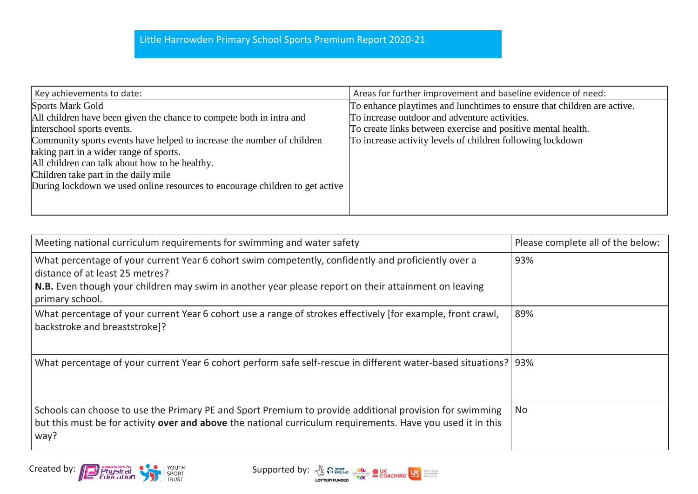| Key achievements to date:                                                    | Areas for further improvement and baseline evidence of need:            |
|------------------------------------------------------------------------------|-------------------------------------------------------------------------|
| <b>Sports Mark Gold</b>                                                      | To enhance playtimes and lunchtimes to ensure that children are active. |
| All children have been given the chance to compete both in intra and         | To increase outdoor and adventure activities.                           |
| interschool sports events.                                                   | To create links between exercise and positive mental health.            |
| Community sports events have helped to increase the number of children       | To increase activity levels of children following lockdown              |
| taking part in a wider range of sports.                                      |                                                                         |
| All children can talk about how to be healthy.                               |                                                                         |
| Children take part in the daily mile                                         |                                                                         |
| During lockdown we used online resources to encourage children to get active |                                                                         |
|                                                                              |                                                                         |
|                                                                              |                                                                         |

| Meeting national curriculum requirements for swimming and water safety                                                                                                                                                                                            | Please complete all of the below: |
|-------------------------------------------------------------------------------------------------------------------------------------------------------------------------------------------------------------------------------------------------------------------|-----------------------------------|
| What percentage of your current Year 6 cohort swim competently, confidently and proficiently over a<br>distance of at least 25 metres?<br>N.B. Even though your children may swim in another year please report on their attainment on leaving<br>primary school. | 93%                               |
| What percentage of your current Year 6 cohort use a range of strokes effectively (for example, front crawl,<br>backstroke and breaststroke]?                                                                                                                      | 89%                               |
| What percentage of your current Year 6 cohort perform safe self-rescue in different water-based situations?   93%                                                                                                                                                 |                                   |
| Schools can choose to use the Primary PE and Sport Premium to provide additional provision for swimming<br>but this must be for activity over and above the national curriculum requirements. Have you used it in this<br>way?                                    | <b>No</b>                         |

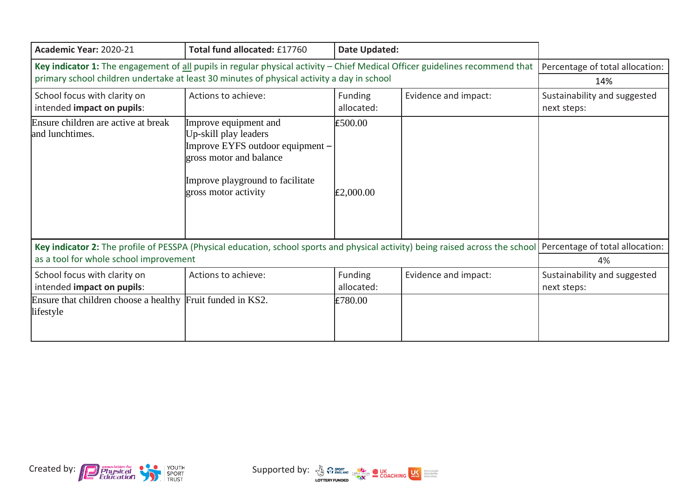| Academic Year: 2020-21                                                                                                                                                                                    | Total fund allocated: £17760                                                                                                                                              | Date Updated:         |                      |                                             |
|-----------------------------------------------------------------------------------------------------------------------------------------------------------------------------------------------------------|---------------------------------------------------------------------------------------------------------------------------------------------------------------------------|-----------------------|----------------------|---------------------------------------------|
| Key indicator 1: The engagement of all pupils in regular physical activity - Chief Medical Officer guidelines recommend that                                                                              |                                                                                                                                                                           |                       |                      | Percentage of total allocation:             |
| primary school children undertake at least 30 minutes of physical activity a day in school                                                                                                                |                                                                                                                                                                           |                       |                      | 14%                                         |
| School focus with clarity on<br>intended impact on pupils:                                                                                                                                                | Actions to achieve:                                                                                                                                                       | Funding<br>allocated: | Evidence and impact: | Sustainability and suggested<br>next steps: |
| Ensure children are active at break<br>and lunchtimes.                                                                                                                                                    | Improve equipment and<br>Up-skill play leaders<br>Improve EYFS outdoor equipment -<br>gross motor and balance<br>Improve playground to facilitate<br>gross motor activity | £500.00<br>E2,000.00  |                      |                                             |
| Key indicator 2: The profile of PESSPA (Physical education, school sports and physical activity) being raised across the school Percentage of total allocation:<br>as a tool for whole school improvement |                                                                                                                                                                           |                       |                      | 4%                                          |
| School focus with clarity on<br>intended impact on pupils:                                                                                                                                                | Actions to achieve:                                                                                                                                                       | Funding<br>allocated: | Evidence and impact: | Sustainability and suggested<br>next steps: |
| Ensure that children choose a healthy Fruit funded in KS2.<br>lifestyle                                                                                                                                   |                                                                                                                                                                           | £780.00               |                      |                                             |



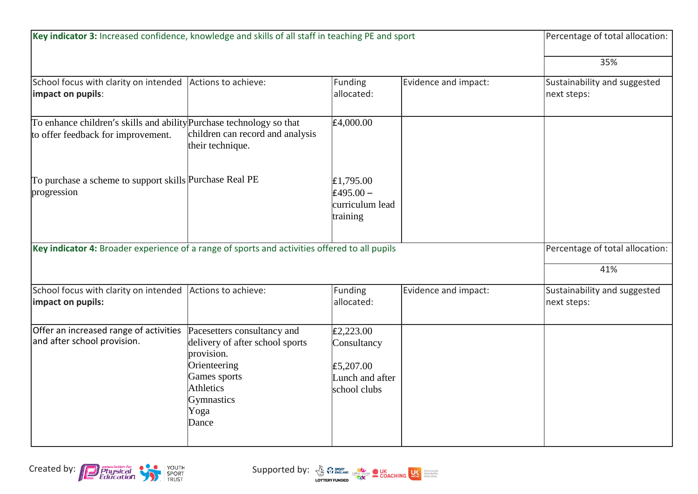| Key indicator 3: Increased confidence, knowledge and skills of all staff in teaching PE and sport          |                                                                                                                                                                 |                                                                          | Percentage of total allocation: |                                             |
|------------------------------------------------------------------------------------------------------------|-----------------------------------------------------------------------------------------------------------------------------------------------------------------|--------------------------------------------------------------------------|---------------------------------|---------------------------------------------|
|                                                                                                            |                                                                                                                                                                 |                                                                          |                                 | 35%                                         |
| School focus with clarity on intended Actions to achieve:<br>impact on pupils:                             |                                                                                                                                                                 | Funding<br>allocated:                                                    | Evidence and impact:            | Sustainability and suggested<br>next steps: |
| To enhance children's skills and ability Purchase technology so that<br>to offer feedback for improvement. | children can record and analysis<br>their technique.                                                                                                            | E4,000.00                                                                |                                 |                                             |
| To purchase a scheme to support skills Purchase Real PE<br>progression                                     |                                                                                                                                                                 | £1,795.00<br>£495.00 $-$<br>curriculum lead<br>training                  |                                 |                                             |
| Key indicator 4: Broader experience of a range of sports and activities offered to all pupils              |                                                                                                                                                                 |                                                                          |                                 | Percentage of total allocation:<br>41%      |
| School focus with clarity on intended<br>impact on pupils:                                                 | Actions to achieve:                                                                                                                                             | Funding<br>allocated:                                                    | Evidence and impact:            | Sustainability and suggested<br>next steps: |
| Offer an increased range of activities<br>and after school provision.                                      | Pacesetters consultancy and<br>delivery of after school sports<br>provision.<br>Orienteering<br>Games sports<br><b>Athletics</b><br>Gymnastics<br>Yoga<br>Dance | E2,223.00<br>Consultancy<br>E5,207.00<br>Lunch and after<br>school clubs |                                 |                                             |